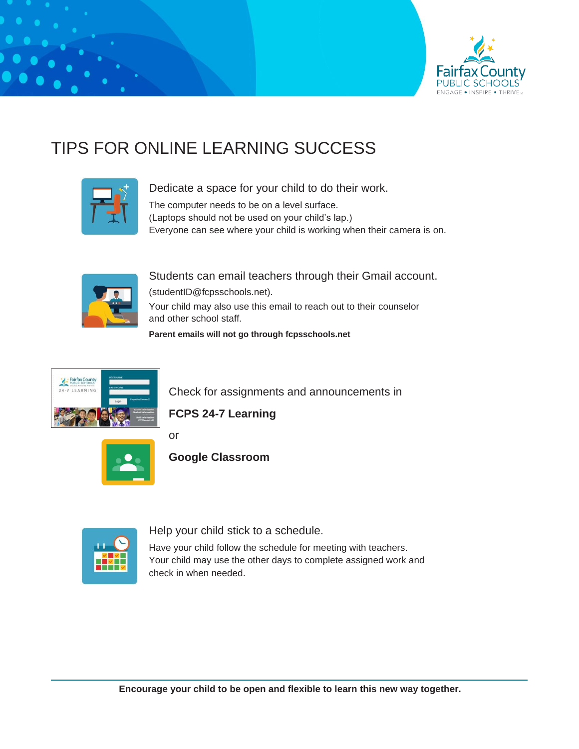

# TIPS FOR ONLINE LEARNING SUCCESS



Dedicate a space for your child to do their work.

The computer needs to be on a level surface.

(Laptops should not be used on your child's lap.)

Everyone can see where your child is working when their camera is on.



Students can email teachers through their Gmail account. (studentID@fcpsschools.net). Your child may also use this email to reach out to their counselor and other school staff.

**Parent emails will not go through fcpsschools.net**



Check for assignments and announcements in

**FCPS 24-7 Learning**



or

**Google Classroom**

Help your child stick to a schedule.

Have your child follow the schedule for meeting with teachers. Your child may use the other days to complete assigned work and check in when needed.